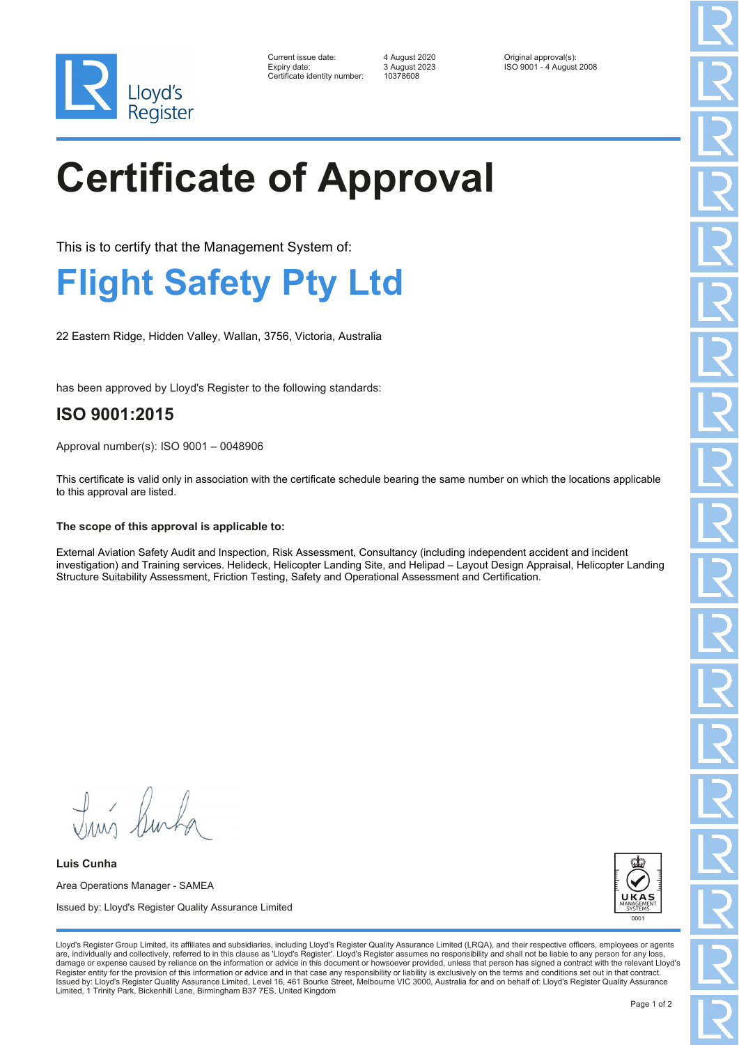

| Current issue date:          | 4 August 2020 | Original approval(s):    |
|------------------------------|---------------|--------------------------|
| Expiry date:                 | 3 August 2023 | ISO 9001 - 4 August 2008 |
| Certificate identity number: | 10378608      |                          |

Certificate identity number: 10378608

# **Certificate of Approval**

This is to certify that the Management System of:

### **Flight Safety Pty Ltd**

22 Eastern Ridge, Hidden Valley, Wallan, 3756, Victoria, Australia

has been approved by Lloyd's Register to the following standards:

### **ISO 9001:2015**

Approval number(s): ISO 9001 – 0048906

This certificate is valid only in association with the certificate schedule bearing the same number on which the locations applicable to this approval are listed.

#### **The scope of this approval is applicable to:**

External Aviation Safety Audit and Inspection, Risk Assessment, Consultancy (including independent accident and incident investigation) and Training services. Helideck, Helicopter Landing Site, and Helipad – Layout Design Appraisal, Helicopter Landing Structure Suitability Assessment, Friction Testing, Safety and Operational Assessment and Certification.

Lloyd's Register Group Limited, its affiliates and subsidiaries, including Lloyd's Register Quality Assurance Limited (LRQA), and their respective officers, employees or agents are, individually and collectively, referred to in this clause as 'Lloyd's Register'. Lloyd's Register assumes no responsibility and shall not be liable to any person for any los damage or expense caused by reliance on the information or advice in this document or howsoever provided, unless that person has signed a contract with the relevant Lloyd's<br>Register entity for the provision of this informa Issued by: Lloyd's Register Quality Assurance Limited, Level 16, 461 Bourke Street, Melbourne VIC 3000, Australia for and on behalf of: Lloyd's Register Quality Assurance

Truis Burka

**Luis Cunha** Area Operations Manager - SAMEA Issued by: Lloyd's Register Quality Assurance Limited

Limited, 1 Trinity Park, Bickenhill Lane, Birmingham B37 7ES, United Kingdom

Page 1 of 2